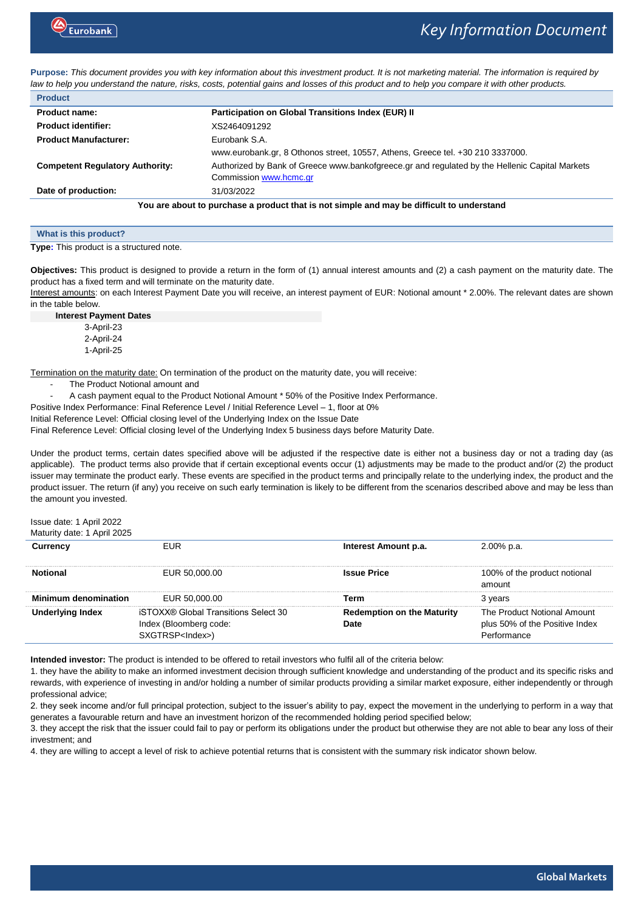

**Purpose:** *This document provides you with key information about this investment product. It is not marketing material. The information is required by law to help you understand the nature, risks, costs, potential gains and losses of this product and to help you compare it with other products.*

| <b>Product</b>                                                                            |                                                                                                |  |
|-------------------------------------------------------------------------------------------|------------------------------------------------------------------------------------------------|--|
| <b>Product name:</b>                                                                      | <b>Participation on Global Transitions Index (EUR) II</b>                                      |  |
| <b>Product identifier:</b>                                                                | XS2464091292                                                                                   |  |
| <b>Product Manufacturer:</b>                                                              | Eurobank S.A.                                                                                  |  |
|                                                                                           | www.eurobank.gr, 8 Othonos street, 10557, Athens, Greece tel. +30 210 3337000.                 |  |
| <b>Competent Regulatory Authority:</b>                                                    | Authorized by Bank of Greece www.bankofgreece.gr and regulated by the Hellenic Capital Markets |  |
|                                                                                           | Commission www.hcmc.gr                                                                         |  |
| Date of production:                                                                       | 31/03/2022                                                                                     |  |
| You are about to purchase a product that is not simple and may be difficult to understand |                                                                                                |  |

| What is this product?                   |  |  |
|-----------------------------------------|--|--|
| Tung: This product is a structured pote |  |  |

**Type:** This product is a structured note.

**Objectives:** This product is designed to provide a return in the form of (1) annual interest amounts and (2) a cash payment on the maturity date. The product has a fixed term and will terminate on the maturity date.

Interest amounts: on each Interest Payment Date you will receive, an interest payment of EUR: Notional amount \* 2.00%. The relevant dates are shown in the table below.

**Interest Payment Dates** 3-April-23

2-April-24 1-April-25

Termination on the maturity date: On termination of the product on the maturity date, you will receive:

- The Product Notional amount and
- A cash payment equal to the Product Notional Amount \* 50% of the Positive Index Performance.

Positive Index Performance: Final Reference Level / Initial Reference Level - 1, floor at 0%

Initial Reference Level: Official closing level of the Underlying Index on the Issue Date

Final Reference Level: Official closing level of the Underlying Index 5 business days before Maturity Date.

Under the product terms, certain dates specified above will be adjusted if the respective date is either not a business day or not a trading day (as applicable). The product terms also provide that if certain exceptional events occur (1) adjustments may be made to the product and/or (2) the product issuer may terminate the product early. These events are specified in the product terms and principally relate to the underlying index, the product and the product issuer. The return (if any) you receive on such early termination is likely to be different from the scenarios described above and may be less than the amount you invested.

Issue date: 1 April 2022 Maturity date: 1 April 2025

| <b>IVIGIUIII</b> Y UGIG. I APIII ZUZU |                                                                                                   |                                           |                                                                              |
|---------------------------------------|---------------------------------------------------------------------------------------------------|-------------------------------------------|------------------------------------------------------------------------------|
| Currencv                              | <b>FUR</b>                                                                                        | Interest Amount p.a.                      | 2.00% p.a.                                                                   |
|                                       | EUR 50,000,00                                                                                     | <b>Issue Price</b>                        | 100% of the product notional<br>amount                                       |
| <b>Minimum denomination</b>           | EUR 50.000.00                                                                                     | erm                                       | 3 years                                                                      |
| Jnderlying Index                      | <b>iSTOXX® Global Transitions Select 30</b><br>Index (Bloomberg code:<br>SXGTRSP <index>)</index> | <b>Redemption on the Maturity</b><br>Date | The Product Notional Amount<br>plus 50% of the Positive Index<br>Performance |

**Intended investor:** The product is intended to be offered to retail investors who fulfil all of the criteria below:

1. they have the ability to make an informed investment decision through sufficient knowledge and understanding of the product and its specific risks and rewards, with experience of investing in and/or holding a number of similar products providing a similar market exposure, either independently or through professional advice;

2. they seek income and/or full principal protection, subject to the issuer's ability to pay, expect the movement in the underlying to perform in a way that generates a favourable return and have an investment horizon of the recommended holding period specified below;

3. they accept the risk that the issuer could fail to pay or perform its obligations under the product but otherwise they are not able to bear any loss of their investment; and

4. they are willing to accept a level of risk to achieve potential returns that is consistent with the summary risk indicator shown below.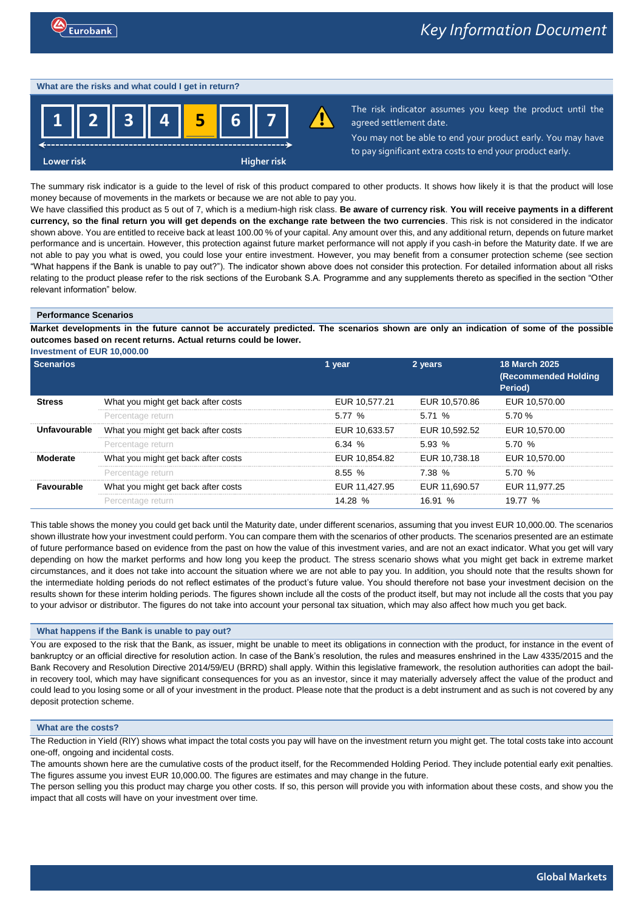### **What are the risks and what could I get in return?**



The risk indicator assumes you keep the product until the agreed settlement date.

You may not be able to end your product early. You may have to pay significant extra costs to end your product early.

The summary risk indicator is a guide to the level of risk of this product compared to other products. It shows how likely it is that the product will lose money because of movements in the markets or because we are not able to pay you.

We have classified this product as 5 out of 7, which is a medium-high risk class. **Be aware of currency risk**. **You will receive payments in a different currency, so the final return you will get depends on the exchange rate between the two currencies**. This risk is not considered in the indicator shown above. You are entitled to receive back at least 100.00 % of your capital. Any amount over this, and any additional return, depends on future market performance and is uncertain. However, this protection against future market performance will not apply if you cash-in before the Maturity date. If we are not able to pay you what is owed, you could lose your entire investment. However, you may benefit from a consumer protection scheme (see section "What happens if the Bank is unable to pay out?"). The indicator shown above does not consider this protection. For detailed information about all risks relating to the product please refer to the risk sections of the Eurobank S.A. Programme and any supplements thereto as specified in the section "Other relevant information" below.

### **Performance Scenarios**

**Market developments in the future cannot be accurately predicted. The scenarios shown are only an indication of some of the possible outcomes based on recent returns. Actual returns could be lower.**

**Investment of EUR 10,000.00**

| <b>Scenarios</b>  |                                     | 1 year        | 2 years       | <b>18 March 2025</b><br><b>(Recommended Holding</b><br>Period) |
|-------------------|-------------------------------------|---------------|---------------|----------------------------------------------------------------|
| <b>Stress</b>     | What you might get back after costs | EUR 10,577.21 | EUR 10.570.86 | EUR 10.570.00                                                  |
|                   | Percentage return                   | $5.77\%$      | 5.71%         | 5.70 %                                                         |
| Unfavourable      | What you might get back after costs | EUR 10,633.57 | EUR 10.592.52 | EUR 10.570.00                                                  |
|                   | Percentage return                   | 6.34%         | $5.93\%$      | 5.70%                                                          |
| Moderate          | What you might get back after costs | EUR 10.854.82 | EUR 10.738.18 | EUR 10.570.00                                                  |
|                   | Percentage return                   | $8.55\%$      | 7.38%         | 5.70%                                                          |
| <b>Favourable</b> | What you might get back after costs | EUR 11.427.95 | EUR 11.690.57 | EUR 11.977.25                                                  |
|                   | Percentage return                   | 14.28 %       | 16.91 %       | 19.77 %                                                        |

This table shows the money you could get back until the Maturity date, under different scenarios, assuming that you invest EUR 10,000.00. The scenarios shown illustrate how your investment could perform. You can compare them with the scenarios of other products. The scenarios presented are an estimate of future performance based on evidence from the past on how the value of this investment varies, and are not an exact indicator. What you get will vary depending on how the market performs and how long you keep the product. The stress scenario shows what you might get back in extreme market circumstances, and it does not take into account the situation where we are not able to pay you. In addition, you should note that the results shown for the intermediate holding periods do not reflect estimates of the product's future value. You should therefore not base your investment decision on the results shown for these interim holding periods. The figures shown include all the costs of the product itself, but may not include all the costs that you pay to your advisor or distributor. The figures do not take into account your personal tax situation, which may also affect how much you get back.

# **What happens if the Bank is unable to pay out?**

You are exposed to the risk that the Bank, as issuer, might be unable to meet its obligations in connection with the product, for instance in the event of bankruptcy or an official directive for resolution action. In case of the Bank's resolution, the rules and measures enshrined in the Law 4335/2015 and the Bank Recovery and Resolution Directive 2014/59/EU (BRRD) shall apply. Within this legislative framework, the resolution authorities can adopt the bailin recovery tool, which may have significant consequences for you as an investor, since it may materially adversely affect the value of the product and could lead to you losing some or all of your investment in the product. Please note that the product is a debt instrument and as such is not covered by any deposit protection scheme.

# **What are the costs?**

The Reduction in Yield (RIY) shows what impact the total costs you pay will have on the investment return you might get. The total costs take into account one-off, ongoing and incidental costs.

The amounts shown here are the cumulative costs of the product itself, for the Recommended Holding Period. They include potential early exit penalties. The figures assume you invest EUR 10,000.00. The figures are estimates and may change in the future.

The person selling you this product may charge you other costs. If so, this person will provide you with information about these costs, and show you the impact that all costs will have on your investment over time.